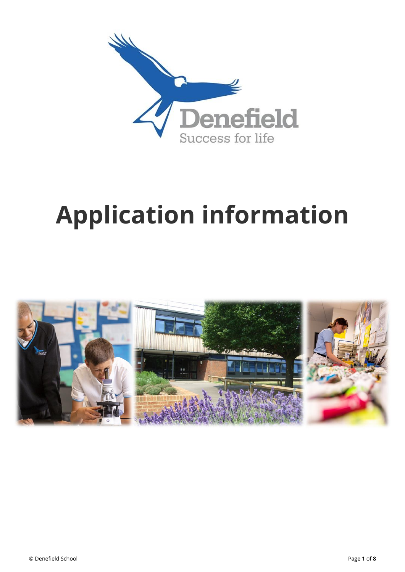

# **Application information**

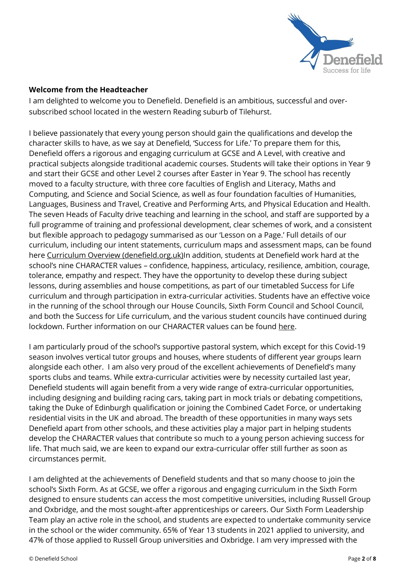

## **Welcome from the Headteacher**

I am delighted to welcome you to Denefield. Denefield is an ambitious, successful and oversubscribed school located in the western Reading suburb of Tilehurst.

I believe passionately that every young person should gain the qualifications and develop the character skills to have, as we say at Denefield, 'Success for Life.' To prepare them for this, Denefield offers a rigorous and engaging curriculum at GCSE and A Level, with creative and practical subjects alongside traditional academic courses. Students will take their options in Year 9 and start their GCSE and other Level 2 courses after Easter in Year 9. The school has recently moved to a faculty structure, with three core faculties of English and Literacy, Maths and Computing, and Science and Social Science, as well as four foundation faculties of Humanities, Languages, Business and Travel, Creative and Performing Arts, and Physical Education and Health. The seven Heads of Faculty drive teaching and learning in the school, and staff are supported by a full programme of training and professional development, clear schemes of work, and a consistent but flexible approach to pedagogy summarised as our 'Lesson on a Page.' Full details of our curriculum, including our intent statements, curriculum maps and assessment maps, can be found here [Curriculum Overview \(denefield.org.uk\)I](http://www.denefield.org.uk/Learning/Curriculum-Overview)n addition, students at Denefield work hard at the school's nine CHARACTER values – confidence, happiness, articulacy, resilience, ambition, courage, tolerance, empathy and respect. They have the opportunity to develop these during subject lessons, during assemblies and house competitions, as part of our timetabled Success for Life curriculum and through participation in extra-curricular activities. Students have an effective voice in the running of the school through our House Councils, Sixth Form Council and School Council, and both the Success for Life curriculum, and the various student councils have continued during lockdown. Further information on our CHARACTER values can be found [here.](http://www.denefield.org.uk/Our-Ethos/Our-Character)

I am particularly proud of the school's supportive pastoral system, which except for this Covid-19 season involves vertical tutor groups and houses, where students of different year groups learn alongside each other. I am also very proud of the excellent achievements of Denefield's many sports clubs and teams. While extra-curricular activities were by necessity curtailed last year, Denefield students will again benefit from a very wide range of extra-curricular opportunities, including designing and building racing cars, taking part in mock trials or debating competitions, taking the Duke of Edinburgh qualification or joining the Combined Cadet Force, or undertaking residential visits in the UK and abroad. The breadth of these opportunities in many ways sets Denefield apart from other schools, and these activities play a major part in helping students develop the CHARACTER values that contribute so much to a young person achieving success for life. That much said, we are keen to expand our extra-curricular offer still further as soon as circumstances permit.

I am delighted at the achievements of Denefield students and that so many choose to join the school's Sixth Form. As at GCSE, we offer a rigorous and engaging curriculum in the Sixth Form designed to ensure students can access the most competitive universities, including Russell Group and Oxbridge, and the most sought-after apprenticeships or careers. Our Sixth Form Leadership Team play an active role in the school, and students are expected to undertake community service in the school or the wider community. 65% of Year 13 students in 2021 applied to university, and 47% of those applied to Russell Group universities and Oxbridge. I am very impressed with the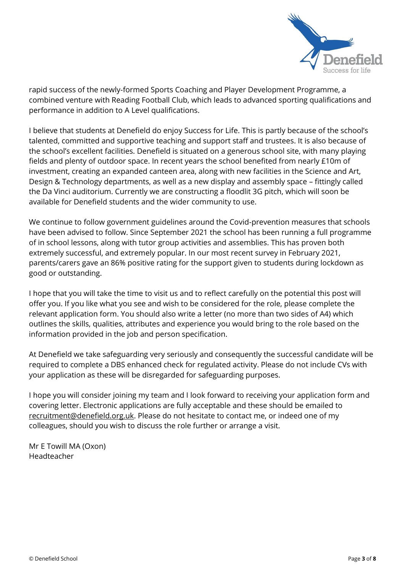

rapid success of the newly-formed Sports Coaching and Player Development Programme, a combined venture with Reading Football Club, which leads to advanced sporting qualifications and performance in addition to A Level qualifications.

I believe that students at Denefield do enjoy Success for Life. This is partly because of the school's talented, committed and supportive teaching and support staff and trustees. It is also because of the school's excellent facilities. Denefield is situated on a generous school site, with many playing fields and plenty of outdoor space. In recent years the school benefited from nearly £10m of investment, creating an expanded canteen area, along with new facilities in the Science and Art, Design & Technology departments, as well as a new display and assembly space – fittingly called the Da Vinci auditorium. Currently we are constructing a floodlit 3G pitch, which will soon be available for Denefield students and the wider community to use.

We continue to follow government guidelines around the Covid-prevention measures that schools have been advised to follow. Since September 2021 the school has been running a full programme of in school lessons, along with tutor group activities and assemblies. This has proven both extremely successful, and extremely popular. In our most recent survey in February 2021, parents/carers gave an 86% positive rating for the support given to students during lockdown as good or outstanding.

I hope that you will take the time to visit us and to reflect carefully on the potential this post will offer you. If you like what you see and wish to be considered for the role, please complete the relevant application form. You should also write a letter (no more than two sides of A4) which outlines the skills, qualities, attributes and experience you would bring to the role based on the information provided in the job and person specification.

At Denefield we take safeguarding very seriously and consequently the successful candidate will be required to complete a DBS enhanced check for regulated activity. Please do not include CVs with your application as these will be disregarded for safeguarding purposes.

I hope you will consider joining my team and I look forward to receiving your application form and covering letter. Electronic applications are fully acceptable and these should be emailed to [recruitment@denefield.org.uk.](mailto:recruitment@denefield.org.uk) Please do not hesitate to contact me, or indeed one of my colleagues, should you wish to discuss the role further or arrange a visit.

Mr E Towill MA (Oxon) Headteacher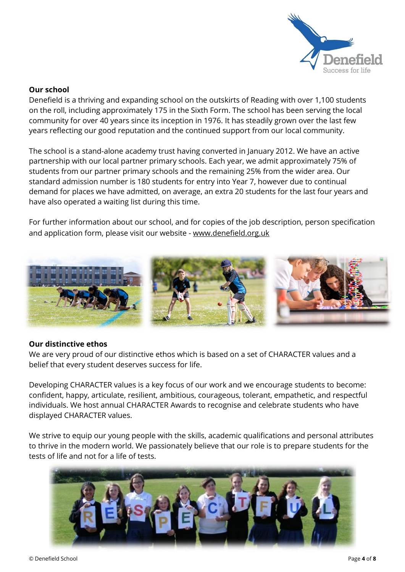

#### **Our school**

Denefield is a thriving and expanding school on the outskirts of Reading with over 1,100 students on the roll, including approximately 175 in the Sixth Form. The school has been serving the local community for over 40 years since its inception in 1976. It has steadily grown over the last few years reflecting our good reputation and the continued support from our local community.

The school is a stand-alone academy trust having converted in January 2012. We have an active partnership with our local partner primary schools. Each year, we admit approximately 75% of students from our partner primary schools and the remaining 25% from the wider area. Our standard admission number is 180 students for entry into Year 7, however due to continual demand for places we have admitted, on average, an extra 20 students for the last four years and have also operated a waiting list during this time.

For further information about our school, and for copies of the job description, person specification and application form, please visit our website - www.denefield.org.uk



## **Our distinctive ethos**

We are very proud of our distinctive ethos which is based on a set of CHARACTER values and a belief that every student deserves success for life.

Developing CHARACTER values is a key focus of our work and we encourage students to become: confident, happy, articulate, resilient, ambitious, courageous, tolerant, empathetic, and respectful individuals. We host annual CHARACTER Awards to recognise and celebrate students who have displayed CHARACTER values.

We strive to equip our young people with the skills, academic qualifications and personal attributes to thrive in the modern world. We passionately believe that our role is to prepare students for the tests of life and not for a life of tests.

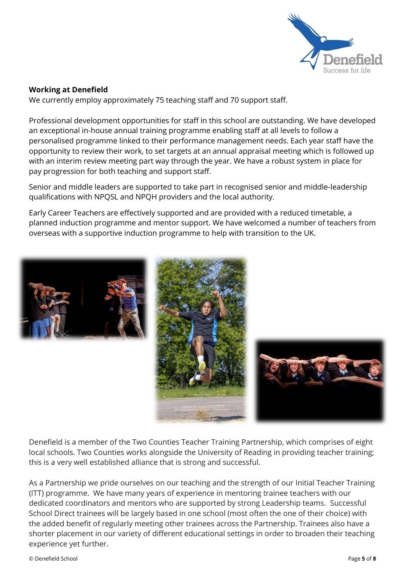

## **Working at Denefield**

We currently employ approximately 75 teaching staff and 70 support staff.

Professional development opportunities for staff in this school are outstanding. We have developed an exceptional in-house annual training programme enabling staff at all levels to follow a personalised programme linked to their performance management needs. Each year staff have the opportunity to review their work, to set targets at an annual appraisal meeting which is followed up with an interim review meeting part way through the year. We have a robust system in place for pay progression for both teaching and support staff.

Senior and middle leaders are supported to take part in recognised senior and middle-leadership qualifications with NPQSL and NPQH providers and the local authority.

Early Career Teachers are effectively supported and are provided with a reduced timetable, a planned induction programme and mentor support. We have welcomed a number of teachers from overseas with a supportive induction programme to help with transition to the UK.



Denefield is a member of the Two Counties Teacher Training Partnership, which comprises of eight local schools. Two Counties works alongside the University of Reading in providing teacher training; this is a very well established alliance that is strong and successful.

As a Partnership we pride ourselves on our teaching and the strength of our Initial Teacher Training (ITT) programme. We have many years of experience in mentoring trainee teachers with our dedicated coordinators and mentors who are supported by strong Leadership teams. Successful School Direct trainees will be largely based in one school (most often the one of their choice) with the added benefit of regularly meeting other trainees across the Partnership. Trainees also have a shorter placement in our variety of different educational settings in order to broaden their teaching experience yet further.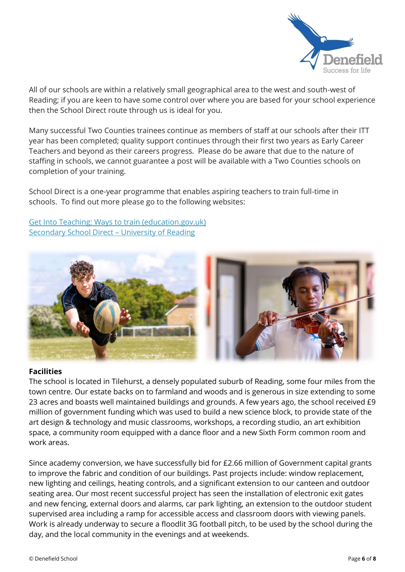

All of our schools are within a relatively small geographical area to the west and south-west of Reading; if you are keen to have some control over where you are based for your school experience then the School Direct route through us is ideal for you.

Many successful Two Counties trainees continue as members of staff at our schools after their ITT year has been completed; quality support continues through their first two years as Early Career Teachers and beyond as their careers progress. Please do be aware that due to the nature of staffing in schools, we cannot guarantee a post will be available with a Two Counties schools on completion of your training.

School Direct is a one-year programme that enables aspiring teachers to train full-time in schools. To find out more please go to the following websites:

Get Into Teaching: Ways to train [\(education.gov.uk\)](https://getintoteaching.education.gov.uk/ways-to-train) [Secondary](https://www.reading.ac.uk/education/pgce-qts/ioe-secondary-school-direct.aspx#sdpartners) School Direct – University of Reading



#### **Facilities**

The school is located in Tilehurst, a densely populated suburb of Reading, some four miles from the town centre. Our estate backs on to farmland and woods and is generous in size extending to some 23 acres and boasts well maintained buildings and grounds. A few years ago, the school received £9 million of government funding which was used to build a new science block, to provide state of the art design & technology and music classrooms, workshops, a recording studio, an art exhibition space, a community room equipped with a dance floor and a new Sixth Form common room and work areas.

Since academy conversion, we have successfully bid for £2.66 million of Government capital grants to improve the fabric and condition of our buildings. Past projects include: window replacement, new lighting and ceilings, heating controls, and a significant extension to our canteen and outdoor seating area. Our most recent successful project has seen the installation of electronic exit gates and new fencing, external doors and alarms, car park lighting, an extension to the outdoor student supervised area including a ramp for accessible access and classroom doors with viewing panels. Work is already underway to secure a floodlit 3G football pitch, to be used by the school during the day, and the local community in the evenings and at weekends.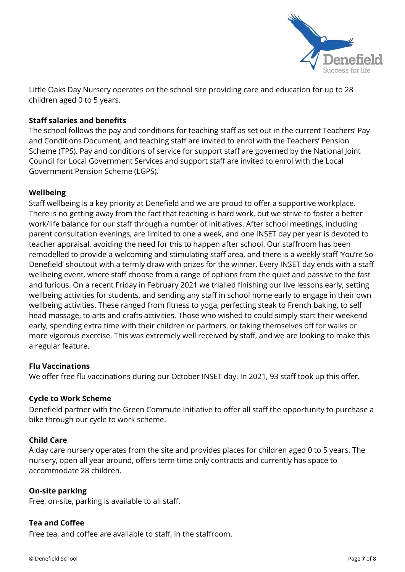

Little Oaks Day Nursery operates on the school site providing care and education for up to 28 children aged 0 to 5 years.

## **Staff salaries and benefits**

The school follows the pay and conditions for teaching staff as set out in the current Teachers' Pay and Conditions Document, and teaching staff are invited to enrol with the Teachers' Pension Scheme (TPS). Pay and conditions of service for support staff are governed by the National Joint Council for Local Government Services and support staff are invited to enrol with the Local Government Pension Scheme (LGPS).

#### **Wellbeing**

Staff wellbeing is a key priority at Denefield and we are proud to offer a supportive workplace. There is no getting away from the fact that teaching is hard work, but we strive to foster a better work/life balance for our staff through a number of initiatives. After school meetings, including parent consultation evenings, are limited to one a week, and one INSET day per year is devoted to teacher appraisal, avoiding the need for this to happen after school. Our staffroom has been remodelled to provide a welcoming and stimulating staff area, and there is a weekly staff 'You're So Denefield' shoutout with a termly draw with prizes for the winner. Every INSET day ends with a staff wellbeing event, where staff choose from a range of options from the quiet and passive to the fast and furious. On a recent Friday in February 2021 we trialled finishing our live lessons early, setting wellbeing activities for students, and sending any staff in school home early to engage in their own wellbeing activities. These ranged from fitness to yoga, perfecting steak to French baking, to self head massage, to arts and crafts activities. Those who wished to could simply start their weekend early, spending extra time with their children or partners, or taking themselves off for walks or more vigorous exercise. This was extremely well received by staff, and we are looking to make this a regular feature.

#### **Flu Vaccinations**

We offer free flu vaccinations during our October INSET day. In 2021, 93 staff took up this offer.

#### **Cycle to Work Scheme**

Denefield partner with the Green Commute Initiative to offer all staff the opportunity to purchase a bike through our cycle to work scheme.

#### **Child Care**

A day care nursery operates from the site and provides places for children aged 0 to 5 years. The nursery, open all year around, offers term time only contracts and currently has space to accommodate 28 children.

#### **On-site parking**

Free, on-site, parking is available to all staff.

## **Tea and Coffee**

Free tea, and coffee are available to staff, in the staffroom.